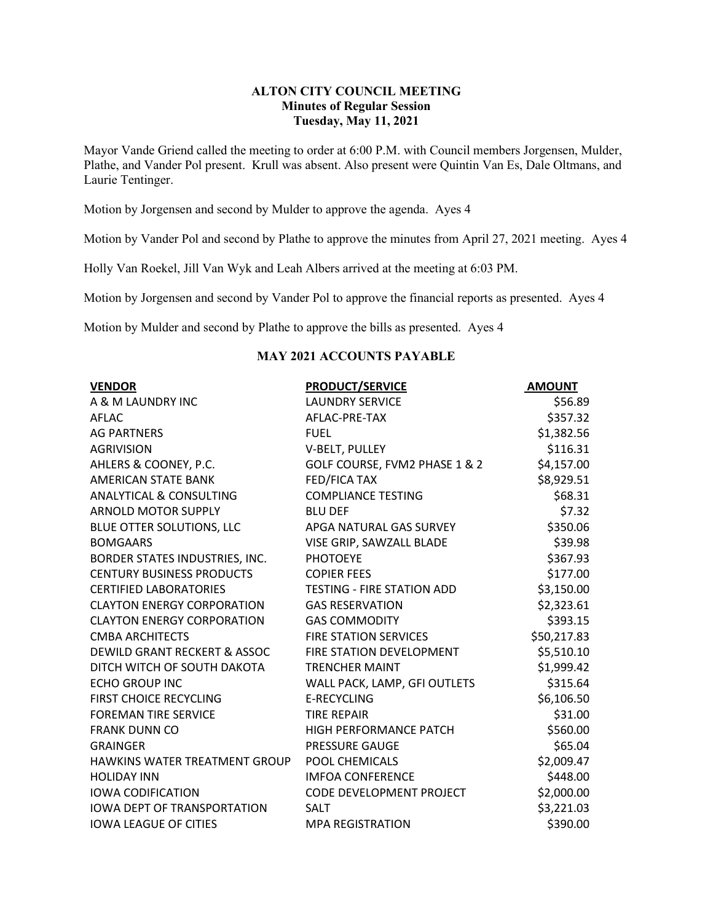## **ALTON CITY COUNCIL MEETING Minutes of Regular Session Tuesday, May 11, 2021**

Mayor Vande Griend called the meeting to order at 6:00 P.M. with Council members Jorgensen, Mulder, Plathe, and Vander Pol present. Krull was absent. Also present were Quintin Van Es, Dale Oltmans, and Laurie Tentinger.

Motion by Jorgensen and second by Mulder to approve the agenda. Ayes 4

Motion by Vander Pol and second by Plathe to approve the minutes from April 27, 2021 meeting. Ayes 4

Holly Van Roekel, Jill Van Wyk and Leah Albers arrived at the meeting at 6:03 PM.

Motion by Jorgensen and second by Vander Pol to approve the financial reports as presented. Ayes 4

Motion by Mulder and second by Plathe to approve the bills as presented. Ayes 4

## **MAY 2021 ACCOUNTS PAYABLE**

| <b>VENDOR</b>                        | <b>PRODUCT/SERVICE</b>            | <b>AMOUNT</b> |
|--------------------------------------|-----------------------------------|---------------|
| A & M LAUNDRY INC                    | <b>LAUNDRY SERVICE</b>            | \$56.89       |
| AFLAC                                | AFLAC-PRE-TAX                     | \$357.32      |
| <b>AG PARTNERS</b>                   | <b>FUEL</b>                       | \$1,382.56    |
| <b>AGRIVISION</b>                    | V-BELT, PULLEY                    | \$116.31      |
| AHLERS & COONEY, P.C.                | GOLF COURSE, FVM2 PHASE 1 & 2     | \$4,157.00    |
| AMERICAN STATE BANK                  | FED/FICA TAX                      | \$8,929.51    |
| <b>ANALYTICAL &amp; CONSULTING</b>   | <b>COMPLIANCE TESTING</b>         | \$68.31       |
| <b>ARNOLD MOTOR SUPPLY</b>           | <b>BLU DEF</b>                    | \$7.32        |
| BLUE OTTER SOLUTIONS, LLC            | APGA NATURAL GAS SURVEY           | \$350.06      |
| <b>BOMGAARS</b>                      | VISE GRIP, SAWZALL BLADE          | \$39.98       |
| BORDER STATES INDUSTRIES, INC.       | <b>PHOTOEYE</b>                   | \$367.93      |
| <b>CENTURY BUSINESS PRODUCTS</b>     | <b>COPIER FEES</b>                | \$177.00      |
| <b>CERTIFIED LABORATORIES</b>        | <b>TESTING - FIRE STATION ADD</b> | \$3,150.00    |
| <b>CLAYTON ENERGY CORPORATION</b>    | <b>GAS RESERVATION</b>            | \$2,323.61    |
| <b>CLAYTON ENERGY CORPORATION</b>    | <b>GAS COMMODITY</b>              | \$393.15      |
| <b>CMBA ARCHITECTS</b>               | <b>FIRE STATION SERVICES</b>      | \$50,217.83   |
| DEWILD GRANT RECKERT & ASSOC         | FIRE STATION DEVELOPMENT          | \$5,510.10    |
| DITCH WITCH OF SOUTH DAKOTA          | <b>TRENCHER MAINT</b>             | \$1,999.42    |
| <b>ECHO GROUP INC</b>                | WALL PACK, LAMP, GFI OUTLETS      | \$315.64      |
| <b>FIRST CHOICE RECYCLING</b>        | <b>E-RECYCLING</b>                | \$6,106.50    |
| <b>FOREMAN TIRE SERVICE</b>          | <b>TIRE REPAIR</b>                | \$31.00       |
| <b>FRANK DUNN CO</b>                 | HIGH PERFORMANCE PATCH            | \$560.00      |
| <b>GRAINGER</b>                      | <b>PRESSURE GAUGE</b>             | \$65.04       |
| <b>HAWKINS WATER TREATMENT GROUP</b> | POOL CHEMICALS                    | \$2,009.47    |
| <b>HOLIDAY INN</b>                   | <b>IMFOA CONFERENCE</b>           | \$448.00      |
| <b>IOWA CODIFICATION</b>             | CODE DEVELOPMENT PROJECT          | \$2,000.00    |
| <b>IOWA DEPT OF TRANSPORTATION</b>   | <b>SALT</b>                       | \$3,221.03    |
| <b>IOWA LEAGUE OF CITIES</b>         | <b>MPA REGISTRATION</b>           | \$390.00      |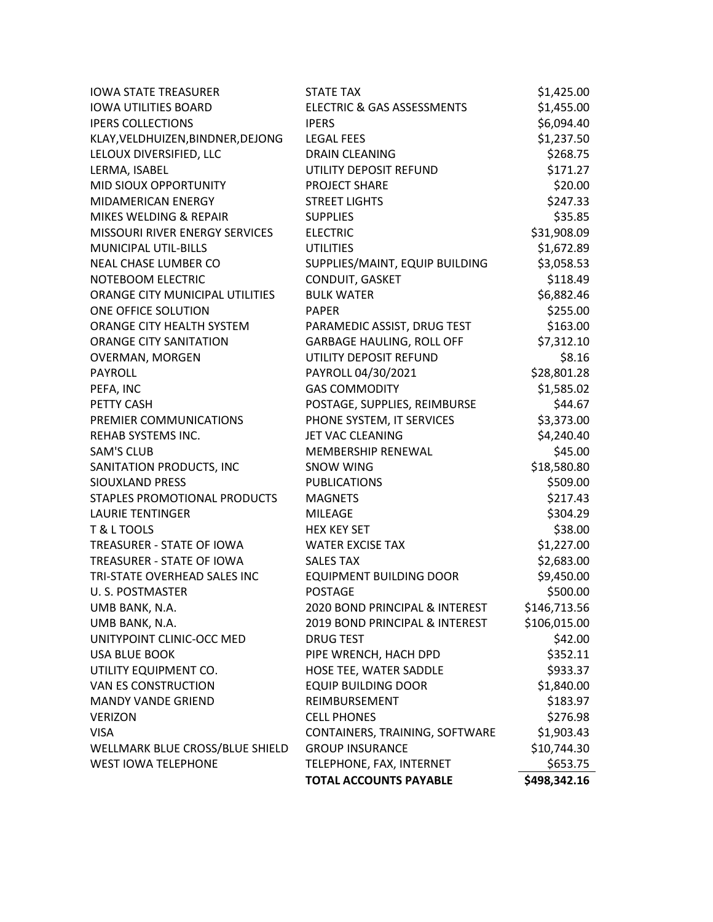| <b>IOWA STATE TREASURER</b>       | <b>STATE TAX</b>                 | \$1,425.00   |
|-----------------------------------|----------------------------------|--------------|
| <b>IOWA UTILITIES BOARD</b>       | ELECTRIC & GAS ASSESSMENTS       | \$1,455.00   |
| <b>IPERS COLLECTIONS</b>          | <b>IPERS</b>                     | \$6,094.40   |
| KLAY, VELDHUIZEN, BINDNER, DEJONG | <b>LEGAL FEES</b>                | \$1,237.50   |
| LELOUX DIVERSIFIED, LLC           | <b>DRAIN CLEANING</b>            | \$268.75     |
| LERMA, ISABEL                     | UTILITY DEPOSIT REFUND           | \$171.27     |
| MID SIOUX OPPORTUNITY             | PROJECT SHARE                    | \$20.00      |
| MIDAMERICAN ENERGY                | <b>STREET LIGHTS</b>             | \$247.33     |
| MIKES WELDING & REPAIR            | <b>SUPPLIES</b>                  | \$35.85      |
| MISSOURI RIVER ENERGY SERVICES    | <b>ELECTRIC</b>                  | \$31,908.09  |
| <b>MUNICIPAL UTIL-BILLS</b>       | <b>UTILITIES</b>                 | \$1,672.89   |
| NEAL CHASE LUMBER CO              | SUPPLIES/MAINT, EQUIP BUILDING   | \$3,058.53   |
| NOTEBOOM ELECTRIC                 | CONDUIT, GASKET                  | \$118.49     |
| ORANGE CITY MUNICIPAL UTILITIES   | <b>BULK WATER</b>                | \$6,882.46   |
| ONE OFFICE SOLUTION               | <b>PAPER</b>                     | \$255.00     |
| ORANGE CITY HEALTH SYSTEM         | PARAMEDIC ASSIST, DRUG TEST      | \$163.00     |
| <b>ORANGE CITY SANITATION</b>     | <b>GARBAGE HAULING, ROLL OFF</b> | \$7,312.10   |
| <b>OVERMAN, MORGEN</b>            | UTILITY DEPOSIT REFUND           | \$8.16       |
| <b>PAYROLL</b>                    | PAYROLL 04/30/2021               | \$28,801.28  |
| PEFA, INC                         | <b>GAS COMMODITY</b>             | \$1,585.02   |
| PETTY CASH                        | POSTAGE, SUPPLIES, REIMBURSE     | \$44.67      |
| PREMIER COMMUNICATIONS            | PHONE SYSTEM, IT SERVICES        | \$3,373.00   |
| REHAB SYSTEMS INC.                | JET VAC CLEANING                 | \$4,240.40   |
| <b>SAM'S CLUB</b>                 | MEMBERSHIP RENEWAL               | \$45.00      |
| SANITATION PRODUCTS, INC          | <b>SNOW WING</b>                 | \$18,580.80  |
| SIOUXLAND PRESS                   | <b>PUBLICATIONS</b>              | \$509.00     |
| STAPLES PROMOTIONAL PRODUCTS      | <b>MAGNETS</b>                   | \$217.43     |
| <b>LAURIE TENTINGER</b>           | <b>MILEAGE</b>                   | \$304.29     |
| T & L TOOLS                       | <b>HEX KEY SET</b>               | \$38.00      |
| TREASURER - STATE OF IOWA         | <b>WATER EXCISE TAX</b>          | \$1,227.00   |
| TREASURER - STATE OF IOWA         | <b>SALES TAX</b>                 | \$2,683.00   |
| TRI-STATE OVERHEAD SALES INC      | <b>EQUIPMENT BUILDING DOOR</b>   | \$9,450.00   |
| U. S. POSTMASTER                  | <b>POSTAGE</b>                   | \$500.00     |
| UMB BANK, N.A.                    | 2020 BOND PRINCIPAL & INTEREST   | \$146,713.56 |
| UMB BANK, N.A.                    | 2019 BOND PRINCIPAL & INTEREST   | \$106,015.00 |
| UNITYPOINT CLINIC-OCC MED         | <b>DRUG TEST</b>                 | \$42.00      |
| <b>USA BLUE BOOK</b>              | PIPE WRENCH, HACH DPD            | \$352.11     |
| UTILITY EQUIPMENT CO.             | HOSE TEE, WATER SADDLE           | \$933.37     |
| VAN ES CONSTRUCTION               | <b>EQUIP BUILDING DOOR</b>       | \$1,840.00   |
| <b>MANDY VANDE GRIEND</b>         | REIMBURSEMENT                    | \$183.97     |
| <b>VERIZON</b>                    | <b>CELL PHONES</b>               | \$276.98     |
| <b>VISA</b>                       | CONTAINERS, TRAINING, SOFTWARE   | \$1,903.43   |
| WELLMARK BLUE CROSS/BLUE SHIELD   | <b>GROUP INSURANCE</b>           | \$10,744.30  |
| <b>WEST IOWA TELEPHONE</b>        | TELEPHONE, FAX, INTERNET         | \$653.75     |
|                                   | <b>TOTAL ACCOUNTS PAYABLE</b>    | \$498,342.16 |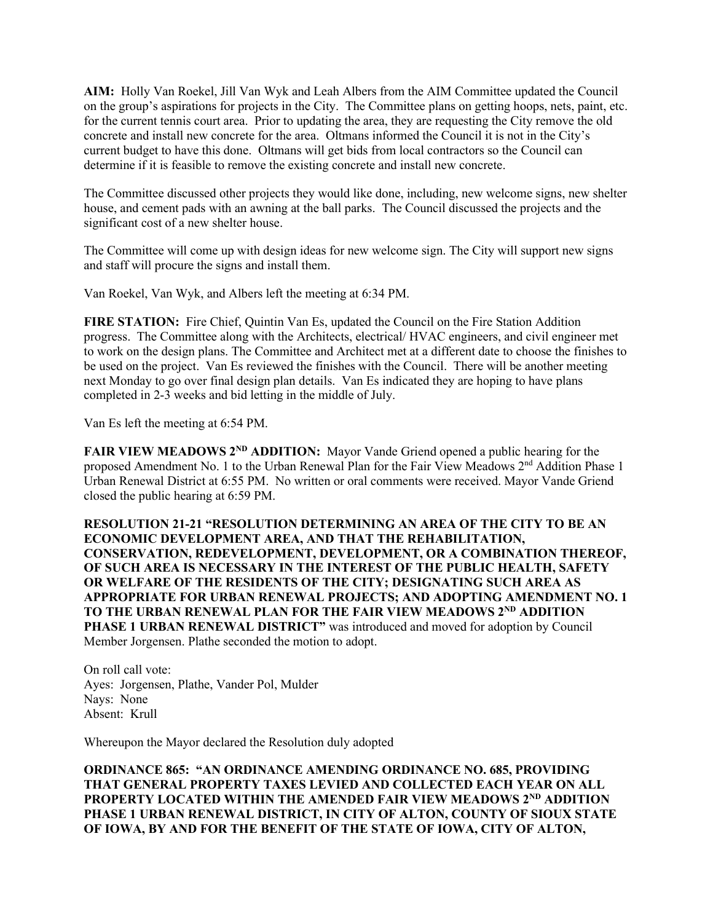**AIM:** Holly Van Roekel, Jill Van Wyk and Leah Albers from the AIM Committee updated the Council on the group's aspirations for projects in the City. The Committee plans on getting hoops, nets, paint, etc. for the current tennis court area. Prior to updating the area, they are requesting the City remove the old concrete and install new concrete for the area. Oltmans informed the Council it is not in the City's current budget to have this done. Oltmans will get bids from local contractors so the Council can determine if it is feasible to remove the existing concrete and install new concrete.

The Committee discussed other projects they would like done, including, new welcome signs, new shelter house, and cement pads with an awning at the ball parks. The Council discussed the projects and the significant cost of a new shelter house.

The Committee will come up with design ideas for new welcome sign. The City will support new signs and staff will procure the signs and install them.

Van Roekel, Van Wyk, and Albers left the meeting at 6:34 PM.

**FIRE STATION:** Fire Chief, Quintin Van Es, updated the Council on the Fire Station Addition progress. The Committee along with the Architects, electrical/ HVAC engineers, and civil engineer met to work on the design plans. The Committee and Architect met at a different date to choose the finishes to be used on the project. Van Es reviewed the finishes with the Council. There will be another meeting next Monday to go over final design plan details. Van Es indicated they are hoping to have plans completed in 2-3 weeks and bid letting in the middle of July.

Van Es left the meeting at 6:54 PM.

**FAIR VIEW MEADOWS 2<sup>ND</sup> ADDITION:** Mayor Vande Griend opened a public hearing for the proposed Amendment No. 1 to the Urban Renewal Plan for the Fair View Meadows 2nd Addition Phase 1 Urban Renewal District at 6:55 PM. No written or oral comments were received. Mayor Vande Griend closed the public hearing at 6:59 PM.

**RESOLUTION 21-21 "RESOLUTION DETERMINING AN AREA OF THE CITY TO BE AN ECONOMIC DEVELOPMENT AREA, AND THAT THE REHABILITATION, CONSERVATION, REDEVELOPMENT, DEVELOPMENT, OR A COMBINATION THEREOF, OF SUCH AREA IS NECESSARY IN THE INTEREST OF THE PUBLIC HEALTH, SAFETY OR WELFARE OF THE RESIDENTS OF THE CITY; DESIGNATING SUCH AREA AS APPROPRIATE FOR URBAN RENEWAL PROJECTS; AND ADOPTING AMENDMENT NO. 1 TO THE URBAN RENEWAL PLAN FOR THE FAIR VIEW MEADOWS 2ND ADDITION**  PHASE 1 URBAN RENEWAL DISTRICT" was introduced and moved for adoption by Council Member Jorgensen. Plathe seconded the motion to adopt.

On roll call vote: Ayes: Jorgensen, Plathe, Vander Pol, Mulder Nays: None Absent: Krull

Whereupon the Mayor declared the Resolution duly adopted

**ORDINANCE 865: "AN ORDINANCE AMENDING ORDINANCE NO. 685, PROVIDING THAT GENERAL PROPERTY TAXES LEVIED AND COLLECTED EACH YEAR ON ALL PROPERTY LOCATED WITHIN THE AMENDED FAIR VIEW MEADOWS 2ND ADDITION PHASE 1 URBAN RENEWAL DISTRICT, IN CITY OF ALTON, COUNTY OF SIOUX STATE OF IOWA, BY AND FOR THE BENEFIT OF THE STATE OF IOWA, CITY OF ALTON,**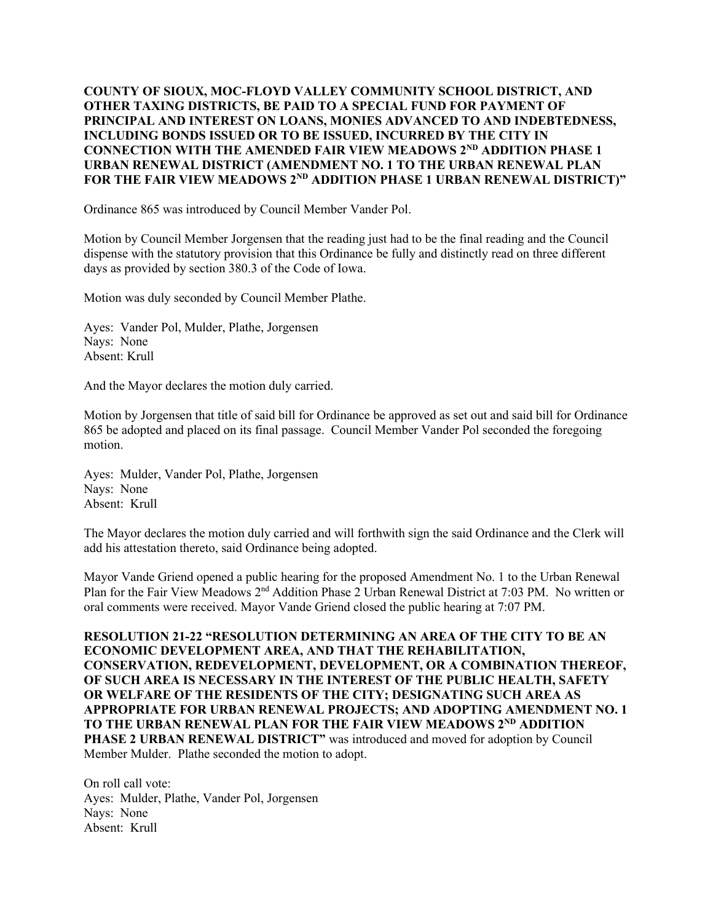## **COUNTY OF SIOUX, MOC-FLOYD VALLEY COMMUNITY SCHOOL DISTRICT, AND OTHER TAXING DISTRICTS, BE PAID TO A SPECIAL FUND FOR PAYMENT OF PRINCIPAL AND INTEREST ON LOANS, MONIES ADVANCED TO AND INDEBTEDNESS, INCLUDING BONDS ISSUED OR TO BE ISSUED, INCURRED BY THE CITY IN CONNECTION WITH THE AMENDED FAIR VIEW MEADOWS 2ND ADDITION PHASE 1 URBAN RENEWAL DISTRICT (AMENDMENT NO. 1 TO THE URBAN RENEWAL PLAN**  FOR THE FAIR VIEW MEADOWS 2<sup>ND</sup> ADDITION PHASE 1 URBAN RENEWAL DISTRICT)"

Ordinance 865 was introduced by Council Member Vander Pol.

Motion by Council Member Jorgensen that the reading just had to be the final reading and the Council dispense with the statutory provision that this Ordinance be fully and distinctly read on three different days as provided by section 380.3 of the Code of Iowa.

Motion was duly seconded by Council Member Plathe.

Ayes: Vander Pol, Mulder, Plathe, Jorgensen Nays: None Absent: Krull

And the Mayor declares the motion duly carried.

Motion by Jorgensen that title of said bill for Ordinance be approved as set out and said bill for Ordinance 865 be adopted and placed on its final passage. Council Member Vander Pol seconded the foregoing motion.

Ayes: Mulder, Vander Pol, Plathe, Jorgensen Nays: None Absent: Krull

The Mayor declares the motion duly carried and will forthwith sign the said Ordinance and the Clerk will add his attestation thereto, said Ordinance being adopted.

Mayor Vande Griend opened a public hearing for the proposed Amendment No. 1 to the Urban Renewal Plan for the Fair View Meadows 2<sup>nd</sup> Addition Phase 2 Urban Renewal District at 7:03 PM. No written or oral comments were received. Mayor Vande Griend closed the public hearing at 7:07 PM.

**RESOLUTION 21-22 "RESOLUTION DETERMINING AN AREA OF THE CITY TO BE AN ECONOMIC DEVELOPMENT AREA, AND THAT THE REHABILITATION, CONSERVATION, REDEVELOPMENT, DEVELOPMENT, OR A COMBINATION THEREOF, OF SUCH AREA IS NECESSARY IN THE INTEREST OF THE PUBLIC HEALTH, SAFETY OR WELFARE OF THE RESIDENTS OF THE CITY; DESIGNATING SUCH AREA AS APPROPRIATE FOR URBAN RENEWAL PROJECTS; AND ADOPTING AMENDMENT NO. 1 TO THE URBAN RENEWAL PLAN FOR THE FAIR VIEW MEADOWS 2ND ADDITION PHASE 2 URBAN RENEWAL DISTRICT"** was introduced and moved for adoption by Council Member Mulder. Plathe seconded the motion to adopt.

On roll call vote: Ayes: Mulder, Plathe, Vander Pol, Jorgensen Nays: None Absent: Krull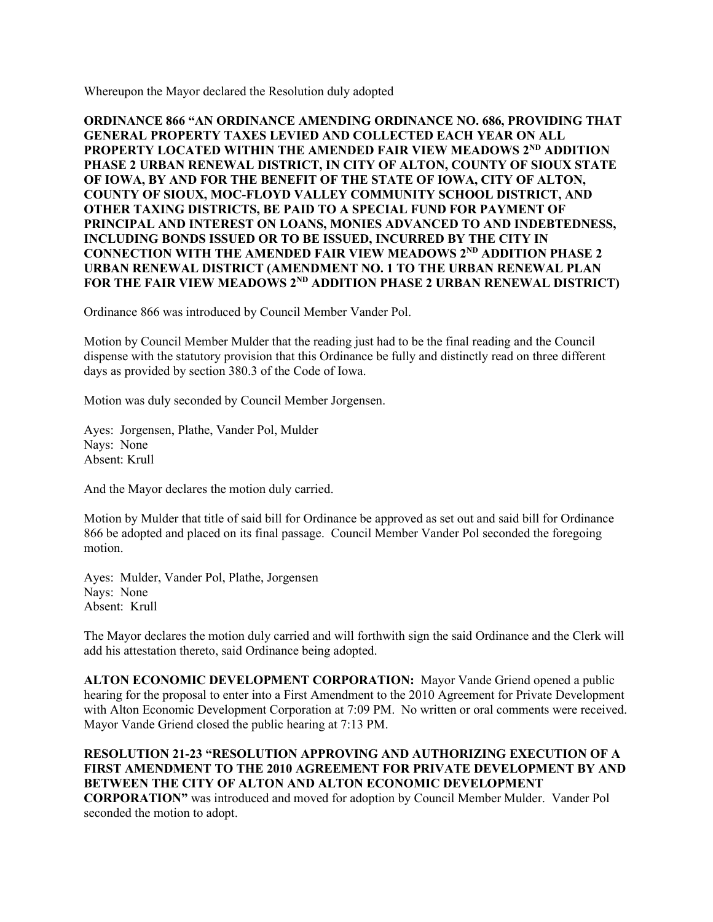Whereupon the Mayor declared the Resolution duly adopted

**ORDINANCE 866 "AN ORDINANCE AMENDING ORDINANCE NO. 686, PROVIDING THAT GENERAL PROPERTY TAXES LEVIED AND COLLECTED EACH YEAR ON ALL PROPERTY LOCATED WITHIN THE AMENDED FAIR VIEW MEADOWS 2ND ADDITION PHASE 2 URBAN RENEWAL DISTRICT, IN CITY OF ALTON, COUNTY OF SIOUX STATE OF IOWA, BY AND FOR THE BENEFIT OF THE STATE OF IOWA, CITY OF ALTON, COUNTY OF SIOUX, MOC-FLOYD VALLEY COMMUNITY SCHOOL DISTRICT, AND OTHER TAXING DISTRICTS, BE PAID TO A SPECIAL FUND FOR PAYMENT OF PRINCIPAL AND INTEREST ON LOANS, MONIES ADVANCED TO AND INDEBTEDNESS, INCLUDING BONDS ISSUED OR TO BE ISSUED, INCURRED BY THE CITY IN CONNECTION WITH THE AMENDED FAIR VIEW MEADOWS 2ND ADDITION PHASE 2 URBAN RENEWAL DISTRICT (AMENDMENT NO. 1 TO THE URBAN RENEWAL PLAN**  FOR THE FAIR VIEW MEADOWS 2<sup>ND</sup> ADDITION PHASE 2 URBAN RENEWAL DISTRICT)

Ordinance 866 was introduced by Council Member Vander Pol.

Motion by Council Member Mulder that the reading just had to be the final reading and the Council dispense with the statutory provision that this Ordinance be fully and distinctly read on three different days as provided by section 380.3 of the Code of Iowa.

Motion was duly seconded by Council Member Jorgensen.

Ayes: Jorgensen, Plathe, Vander Pol, Mulder Nays: None Absent: Krull

And the Mayor declares the motion duly carried.

Motion by Mulder that title of said bill for Ordinance be approved as set out and said bill for Ordinance 866 be adopted and placed on its final passage. Council Member Vander Pol seconded the foregoing motion.

Ayes: Mulder, Vander Pol, Plathe, Jorgensen Nays: None Absent: Krull

The Mayor declares the motion duly carried and will forthwith sign the said Ordinance and the Clerk will add his attestation thereto, said Ordinance being adopted.

**ALTON ECONOMIC DEVELOPMENT CORPORATION:** Mayor Vande Griend opened a public hearing for the proposal to enter into a First Amendment to the 2010 Agreement for Private Development with Alton Economic Development Corporation at 7:09 PM. No written or oral comments were received. Mayor Vande Griend closed the public hearing at 7:13 PM.

**RESOLUTION 21-23 "RESOLUTION APPROVING AND AUTHORIZING EXECUTION OF A FIRST AMENDMENT TO THE 2010 AGREEMENT FOR PRIVATE DEVELOPMENT BY AND BETWEEN THE CITY OF ALTON AND ALTON ECONOMIC DEVELOPMENT CORPORATION"** was introduced and moved for adoption by Council Member Mulder. Vander Pol seconded the motion to adopt.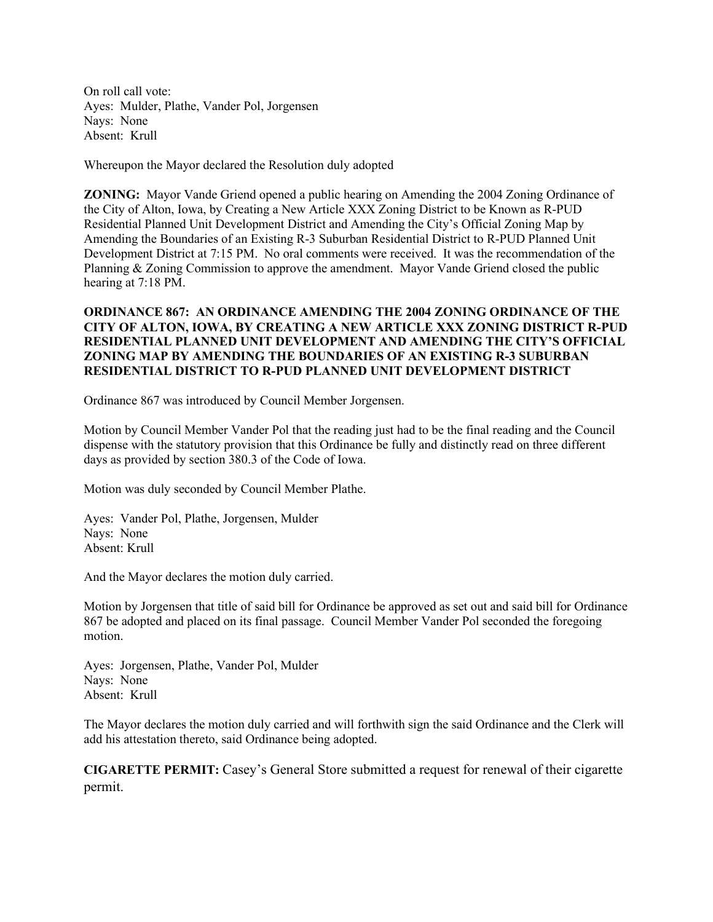On roll call vote: Ayes: Mulder, Plathe, Vander Pol, Jorgensen Nays: None Absent: Krull

Whereupon the Mayor declared the Resolution duly adopted

**ZONING:** Mayor Vande Griend opened a public hearing on Amending the 2004 Zoning Ordinance of the City of Alton, Iowa, by Creating a New Article XXX Zoning District to be Known as R-PUD Residential Planned Unit Development District and Amending the City's Official Zoning Map by Amending the Boundaries of an Existing R-3 Suburban Residential District to R-PUD Planned Unit Development District at 7:15 PM. No oral comments were received. It was the recommendation of the Planning & Zoning Commission to approve the amendment. Mayor Vande Griend closed the public hearing at 7:18 PM.

## **ORDINANCE 867: AN ORDINANCE AMENDING THE 2004 ZONING ORDINANCE OF THE CITY OF ALTON, IOWA, BY CREATING A NEW ARTICLE XXX ZONING DISTRICT R-PUD RESIDENTIAL PLANNED UNIT DEVELOPMENT AND AMENDING THE CITY'S OFFICIAL ZONING MAP BY AMENDING THE BOUNDARIES OF AN EXISTING R-3 SUBURBAN RESIDENTIAL DISTRICT TO R-PUD PLANNED UNIT DEVELOPMENT DISTRICT**

Ordinance 867 was introduced by Council Member Jorgensen.

Motion by Council Member Vander Pol that the reading just had to be the final reading and the Council dispense with the statutory provision that this Ordinance be fully and distinctly read on three different days as provided by section 380.3 of the Code of Iowa.

Motion was duly seconded by Council Member Plathe.

Ayes: Vander Pol, Plathe, Jorgensen, Mulder Nays: None Absent: Krull

And the Mayor declares the motion duly carried.

Motion by Jorgensen that title of said bill for Ordinance be approved as set out and said bill for Ordinance 867 be adopted and placed on its final passage. Council Member Vander Pol seconded the foregoing motion.

Ayes: Jorgensen, Plathe, Vander Pol, Mulder Nays: None Absent: Krull

The Mayor declares the motion duly carried and will forthwith sign the said Ordinance and the Clerk will add his attestation thereto, said Ordinance being adopted.

**CIGARETTE PERMIT:** Casey's General Store submitted a request for renewal of their cigarette permit.